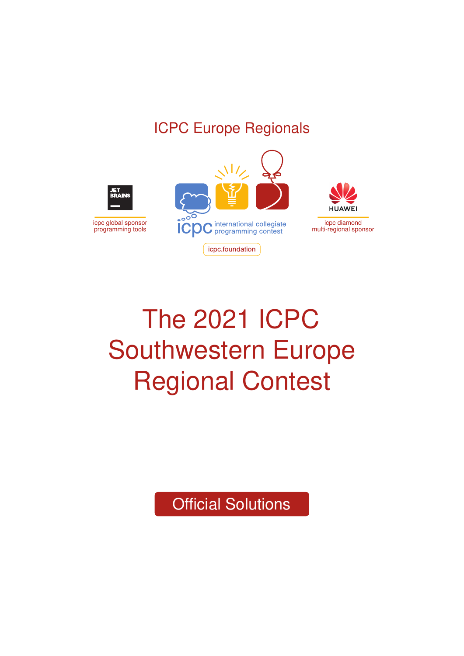### ICPC Europe Regionals



# The 2021 ICPC Southwestern Europe Regional Contest

Official Solutions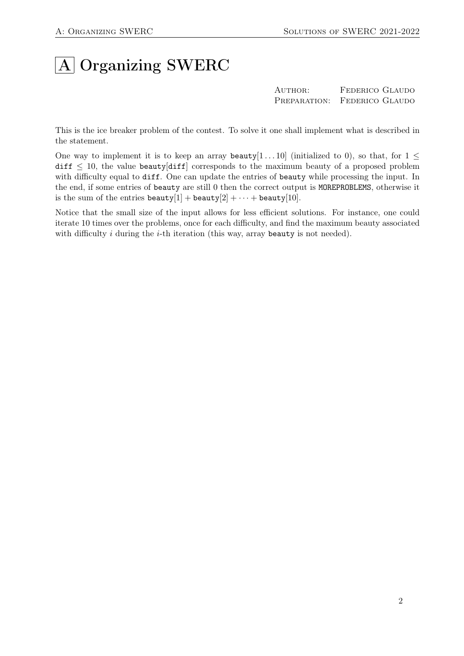# A Organizing SWERC

AUTHOR: FEDERICO GLAUDO Preparation: Federico Glaudo

This is the ice breaker problem of the contest. To solve it one shall implement what is described in the statement.

One way to implement it is to keep an array beauty[1...10] (initialized to 0), so that, for  $1 \leq$ diff  $\leq$  10, the value beauty [diff] corresponds to the maximum beauty of a proposed problem with difficulty equal to diff. One can update the entries of beauty while processing the input. In the end, if some entries of beauty are still 0 then the correct output is MOREPROBLEMS, otherwise it is the sum of the entries beauty[1] + beauty[2] +  $\cdots$  + beauty[10].

Notice that the small size of the input allows for less efficient solutions. For instance, one could iterate 10 times over the problems, once for each difficulty, and find the maximum beauty associated with difficulty  $i$  during the  $i$ -th iteration (this way, array beauty is not needed).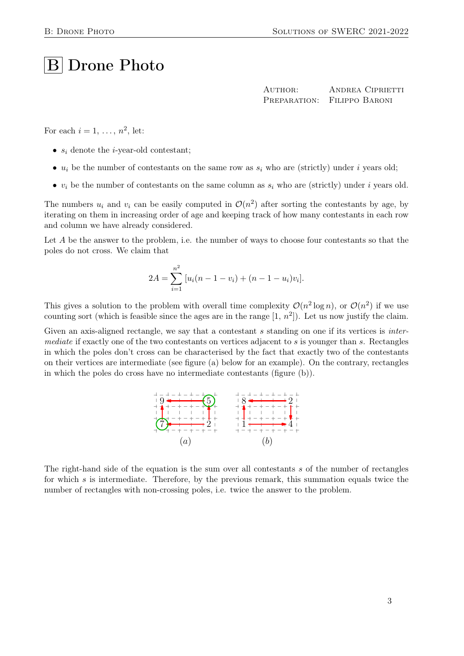## **B** Drone Photo

AUTHOR: ANDREA CIPRIETTI Preparation: Filippo Baroni

For each  $i = 1, \ldots, n^2$ , let:

- $s_i$  denote the *i*-year-old contestant;
- $u_i$  be the number of contestants on the same row as  $s_i$  who are (strictly) under i years old;
- $v_i$  be the number of contestants on the same column as  $s_i$  who are (strictly) under i years old.

The numbers  $u_i$  and  $v_i$  can be easily computed in  $\mathcal{O}(n^2)$  after sorting the contestants by age, by iterating on them in increasing order of age and keeping track of how many contestants in each row and column we have already considered.

Let A be the answer to the problem, i.e. the number of ways to choose four contestants so that the poles do not cross. We claim that

$$
2A = \sum_{i=1}^{n^2} [u_i(n-1-v_i) + (n-1-u_i)v_i].
$$

This gives a solution to the problem with overall time complexity  $\mathcal{O}(n^2 \log n)$ , or  $\mathcal{O}(n^2)$  if we use counting sort (which is feasible since the ages are in the range  $[1, n^2]$ ). Let us now justify the claim.

Given an axis-aligned rectangle, we say that a contestant s standing on one if its vertices is *inter*mediate if exactly one of the two contestants on vertices adjacent to s is younger than s. Rectangles in which the poles don't cross can be characterised by the fact that exactly two of the contestants on their vertices are intermediate (see figure (a) below for an example). On the contrary, rectangles in which the poles do cross have no intermediate contestants (figure (b)).



The right-hand side of the equation is the sum over all contestants s of the number of rectangles for which  $s$  is intermediate. Therefore, by the previous remark, this summation equals twice the number of rectangles with non-crossing poles, i.e. twice the answer to the problem.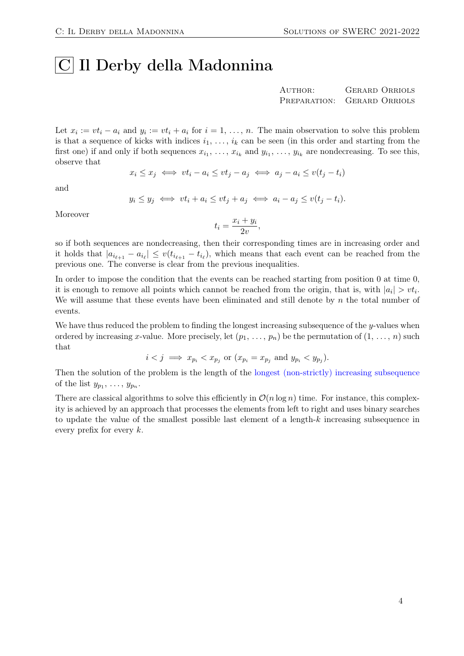### |C| Il Derby della Madonnina

AUTHOR: GERARD ORRIOLS Preparation: Gerard Orriols

Let  $x_i := vt_i - a_i$  and  $y_i := vt_i + a_i$  for  $i = 1, ..., n$ . The main observation to solve this problem is that a sequence of kicks with indices  $i_1, \ldots, i_k$  can be seen (in this order and starting from the first one) if and only if both sequences  $x_{i_1}, \ldots, x_{i_k}$  and  $y_{i_1}, \ldots, y_{i_k}$  are nondecreasing. To see this, observe that

$$
x_i \le x_j \iff vt_i - a_i \le vt_j - a_j \iff a_j - a_i \le v(t_j - t_i)
$$

and

$$
y_i \le y_j \iff vt_i + a_i \le vt_j + a_j \iff a_i - a_j \le v(t_j - t_i).
$$

Moreover

$$
t_i = \frac{x_i + y_i}{2v},
$$

so if both sequences are nondecreasing, then their corresponding times are in increasing order and it holds that  $|a_{i_{\ell+1}} - a_{i_{\ell}}| \le v(t_{i_{\ell+1}} - t_{i_{\ell}})$ , which means that each event can be reached from the previous one. The converse is clear from the previous inequalities.

In order to impose the condition that the events can be reached starting from position 0 at time 0, it is enough to remove all points which cannot be reached from the origin, that is, with  $|a_i| > vt_i$ . We will assume that these events have been eliminated and still denote by  $n$  the total number of events.

We have thus reduced the problem to finding the longest increasing subsequence of the y-values when ordered by increasing x-value. More precisely, let  $(p_1, \ldots, p_n)$  be the permutation of  $(1, \ldots, n)$  such that

$$
i < j \implies x_{p_i} < x_{p_j}
$$
 or  $(x_{p_i} = x_{p_j} \text{ and } y_{p_i} < y_{p_j}).$ 

Then the solution of the problem is the length of the [longest \(non-strictly\) increasing subsequence](https://en.wikipedia.org/wiki/Longest_increasing_subsequence) of the list  $y_{p_1}, \ldots, y_{p_n}$ .

There are classical algorithms to solve this efficiently in  $\mathcal{O}(n \log n)$  time. For instance, this complexity is achieved by an approach that processes the elements from left to right and uses binary searches to update the value of the smallest possible last element of a length- $k$  increasing subsequence in every prefix for every  $k$ .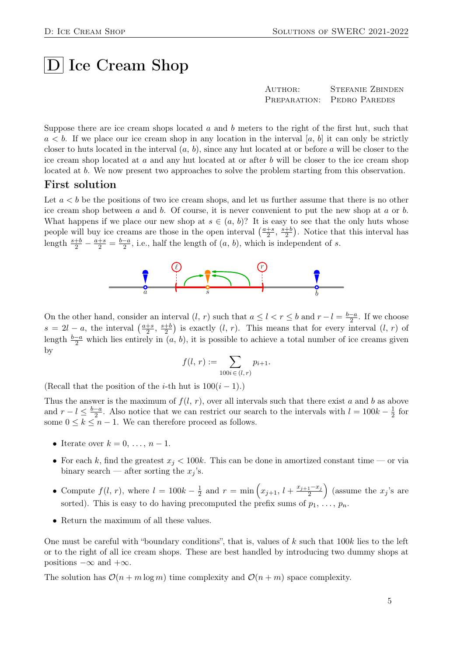### $|D|$  Ice Cream Shop

| AUTHOR: | <b>STEFANIE ZBINDEN</b>    |
|---------|----------------------------|
|         | PREPARATION: PEDRO PAREDES |

Suppose there are ice cream shops located  $a$  and  $b$  meters to the right of the first hut, such that  $a < b$ . If we place our ice cream shop in any location in the interval [a, b] it can only be strictly closer to huts located in the interval  $(a, b)$ , since any hut located at or before a will be closer to the ice cream shop located at  $a$  and any hut located at or after  $b$  will be closer to the ice cream shop located at b. We now present two approaches to solve the problem starting from this observation.

#### First solution

Let  $a < b$  be the positions of two ice cream shops, and let us further assume that there is no other ice cream shop between a and b. Of course, it is never convenient to put the new shop at a or b. What happens if we place our new shop at  $s \in (a, b)$ ? It is easy to see that the only huts whose people will buy ice creams are those in the open interval  $\left(\frac{a+s}{2}, \frac{s+b}{2}\right)$ . Notice that this interval has length  $\frac{s+b}{2} - \frac{a+s}{2} = \frac{b-a}{2}$ , i.e., half the length of  $(a, b)$ , which is independent of s.



On the other hand, consider an interval  $(l, r)$  such that  $a \le l < r \le b$  and  $r - l = \frac{b-a}{2}$ . If we choose  $s = 2l - a$ , the interval  $\left(\frac{a+s}{2}, \frac{s+b}{2}\right)$  is exactly  $(l, r)$ . This means that for every interval  $(l, r)$  of length  $\frac{b-a}{2}$  which lies entirely in  $(a, b)$ , it is possible to achieve a total number of ice creams given by

$$
f(l, r) := \sum_{100i \in (l, r)} p_{i+1}.
$$

(Recall that the position of the *i*-th hut is  $100(i - 1)$ .)

Thus the answer is the maximum of  $f(l, r)$ , over all intervals such that there exist a and b as above and  $r - l \leq \frac{b-a}{2}$ . Also notice that we can restrict our search to the intervals with  $l = 100k - \frac{1}{2}$  $rac{1}{2}$  for some  $0 \leq k \leq n-1$ . We can therefore proceed as follows.

- Iterate over  $k = 0, \ldots, n-1$ .
- For each k, find the greatest  $x_i < 100k$ . This can be done in amortized constant time or via binary search — after sorting the  $x_i$ 's.
- Compute  $f(l, r)$ , where  $l = 100k \frac{1}{2}$  $\frac{1}{2}$  and  $r = \min\left(x_{j+1}, l + \frac{x_{j+1}-x_j}{2}\right)$  (assume the  $x_j$ 's are sorted). This is easy to do having precomputed the prefix sums of  $p_1, \ldots, p_n$ .
- Return the maximum of all these values.

One must be careful with "boundary conditions", that is, values of  $k$  such that 100 $k$  lies to the left or to the right of all ice cream shops. These are best handled by introducing two dummy shops at positions  $-\infty$  and  $+\infty$ .

The solution has  $\mathcal{O}(n+m\log m)$  time complexity and  $\mathcal{O}(n+m)$  space complexity.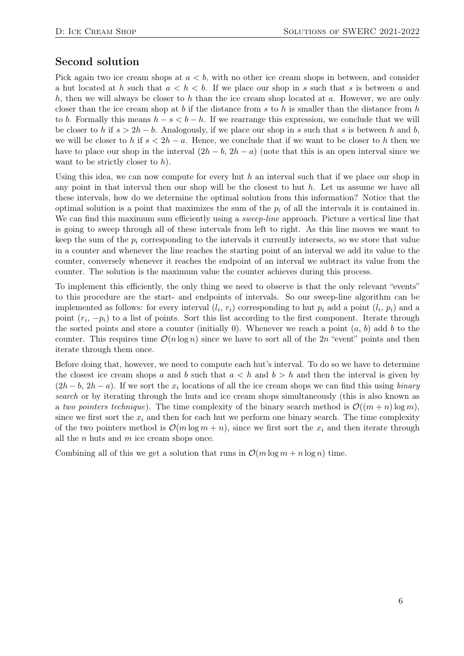#### Second solution

Pick again two ice cream shops at  $a < b$ , with no other ice cream shops in between, and consider a hut located at h such that  $a < h < b$ . If we place our shop in s such that s is between a and h, then we will always be closer to h than the ice cream shop located at  $a$ . However, we are only closer than the ice cream shop at b if the distance from s to h is smaller than the distance from h to b. Formally this means  $h - s < b - h$ . If we rearrange this expression, we conclude that we will be closer to h if  $s > 2h - b$ . Analogously, if we place our shop in s such that s is between h and b, we will be closer to h if  $s < 2h - a$ . Hence, we conclude that if we want to be closer to h then we have to place our shop in the interval  $(2h - b, 2h - a)$  (note that this is an open interval since we want to be strictly closer to  $h$ ).

Using this idea, we can now compute for every hut h an interval such that if we place our shop in any point in that interval then our shop will be the closest to hut  $h$ . Let us assume we have all these intervals, how do we determine the optimal solution from this information? Notice that the optimal solution is a point that maximizes the sum of the  $p_i$  of all the intervals it is contained in. We can find this maximum sum efficiently using a *sweep-line* approach. Picture a vertical line that is going to sweep through all of these intervals from left to right. As this line moves we want to keep the sum of the  $p_i$  corresponding to the intervals it currently intersects, so we store that value in a counter and whenever the line reaches the starting point of an interval we add its value to the counter, conversely whenever it reaches the endpoint of an interval we subtract its value from the counter. The solution is the maximum value the counter achieves during this process.

To implement this efficiently, the only thing we need to observe is that the only relevant "events" to this procedure are the start- and endpoints of intervals. So our sweep-line algorithm can be implemented as follows: for every interval  $(l_i, r_i)$  corresponding to hut  $p_i$  add a point  $(l_i, p_i)$  and a point  $(r_i, -p_i)$  to a list of points. Sort this list according to the first component. Iterate through the sorted points and store a counter (initially 0). Whenever we reach a point  $(a, b)$  add b to the counter. This requires time  $\mathcal{O}(n \log n)$  since we have to sort all of the 2n "event" points and then iterate through them once.

Before doing that, however, we need to compute each hut's interval. To do so we have to determine the closest ice cream shops a and b such that  $a < h$  and  $b > h$  and then the interval is given by  $(2h - b, 2h - a)$ . If we sort the  $x_i$  locations of all the ice cream shops we can find this using *binary* search or by iterating through the huts and ice cream shops simultaneously (this is also known as a two pointers technique). The time complexity of the binary search method is  $\mathcal{O}((m+n) \log m)$ , since we first sort the  $x_i$  and then for each hut we perform one binary search. The time complexity of the two pointers method is  $\mathcal{O}(m \log m + n)$ , since we first sort the  $x_i$  and then iterate through all the  $n$  huts and  $m$  ice cream shops once.

Combining all of this we get a solution that runs in  $\mathcal{O}(m \log m + n \log n)$  time.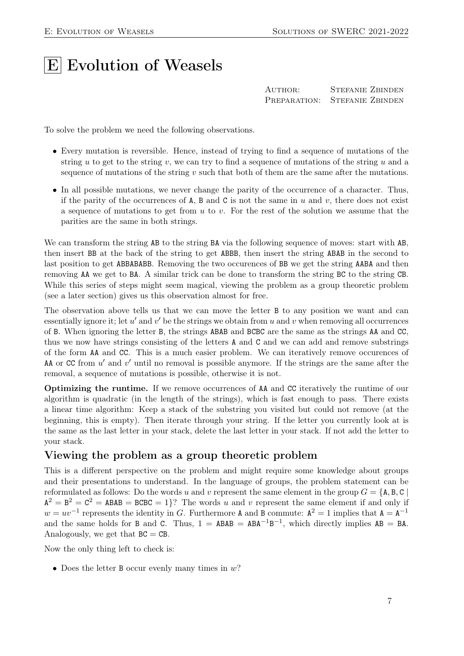# **E** Evolution of Weasels

| AUTHOR: | <b>STEFANIE ZBINDEN</b>       |
|---------|-------------------------------|
|         | PREPARATION: STEFANIE ZBINDEN |

To solve the problem we need the following observations.

- Every mutation is reversible. Hence, instead of trying to find a sequence of mutations of the string u to get to the string v, we can try to find a sequence of mutations of the string u and a sequence of mutations of the string  $v$  such that both of them are the same after the mutations.
- In all possible mutations, we never change the parity of the occurrence of a character. Thus, if the parity of the occurrences of  $A$ ,  $B$  and  $C$  is not the same in  $u$  and  $v$ , there does not exist a sequence of mutations to get from  $u$  to  $v$ . For the rest of the solution we assume that the parities are the same in both strings.

We can transform the string AB to the string BA via the following sequence of moves: start with AB, then insert BB at the back of the string to get ABBB, then insert the string ABAB in the second to last position to get ABBABABB. Removing the two occurences of BB we get the string AABA and then removing AA we get to BA. A similar trick can be done to transform the string BC to the string CB. While this series of steps might seem magical, viewing the problem as a group theoretic problem (see a later section) gives us this observation almost for free.

The observation above tells us that we can move the letter B to any position we want and can essentially ignore it; let  $u'$  and  $v'$  be the strings we obtain from u and v when removing all occurrences of B. When ignoring the letter B, the strings ABAB and BCBC are the same as the strings AA and CC, thus we now have strings consisting of the letters A and C and we can add and remove substrings of the form AA and CC. This is a much easier problem. We can iteratively remove occurences of AA or CC from  $u'$  and  $v'$  until no removal is possible anymore. If the strings are the same after the removal, a sequence of mutations is possible, otherwise it is not.

Optimizing the runtime. If we remove occurrences of AA and CC iteratively the runtime of our algorithm is quadratic (in the length of the strings), which is fast enough to pass. There exists a linear time algorithm: Keep a stack of the substring you visited but could not remove (at the beginning, this is empty). Then iterate through your string. If the letter you currently look at is the same as the last letter in your stack, delete the last letter in your stack. If not add the letter to your stack.

#### Viewing the problem as a group theoretic problem

This is a different perspective on the problem and might require some knowledge about groups and their presentations to understand. In the language of groups, the problem statement can be reformulated as follows: Do the words u and v represent the same element in the group  $G = \{A, B, C\}$  $A^2 = B^2 = C^2 = ABAB = BCBC = 1$ ? The words u and v represent the same element if and only if  $w = uv^{-1}$  represents the identity in G. Furthermore A and B commute:  $A^2 = 1$  implies that  $A = A^{-1}$ and the same holds for B and C. Thus,  $1 = ABAB = ABA^{-1}B^{-1}$ , which directly implies  $AB = BA$ . Analogously, we get that  $BC = CB$ .

Now the only thing left to check is:

• Does the letter B occur evenly many times in  $w$ ?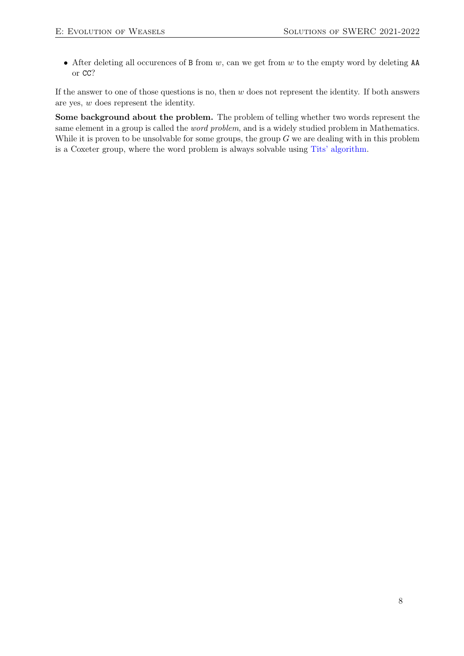• After deleting all occurences of B from  $w$ , can we get from  $w$  to the empty word by deleting AA or CC?

If the answer to one of those questions is no, then  $w$  does not represent the identity. If both answers are yes, w does represent the identity.

Some background about the problem. The problem of telling whether two words represent the same element in a group is called the word problem, and is a widely studied problem in Mathematics. While it is proven to be unsolvable for some groups, the group  $G$  we are dealing with in this problem is a Coxeter group, where the word problem is always solvable using [Tits' algorithm.](https://iubm623.wordpress.com/2009/10/06/tits-solution-to-the-word-problem-for-coxeter-groups/)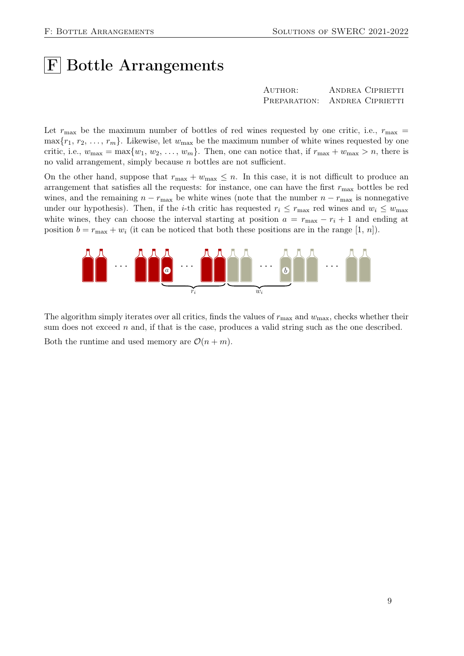## $|F|$  Bottle Arrangements

| AUTHOR: | ANDREA CIPRIETTI              |
|---------|-------------------------------|
|         | PREPARATION: ANDREA CIPRIETTI |

Let  $r_{\text{max}}$  be the maximum number of bottles of red wines requested by one critic, i.e.,  $r_{\text{max}} =$  $\max\{r_1, r_2, \ldots, r_m\}$ . Likewise, let  $w_{\text{max}}$  be the maximum number of white wines requested by one critic, i.e.,  $w_{\text{max}} = \max\{w_1, w_2, \dots, w_m\}$ . Then, one can notice that, if  $r_{\text{max}} + w_{\text{max}} > n$ , there is no valid arrangement, simply because n bottles are not sufficient.

On the other hand, suppose that  $r_{\text{max}} + w_{\text{max}} \leq n$ . In this case, it is not difficult to produce an arrangement that satisfies all the requests: for instance, one can have the first  $r_{\text{max}}$  bottles be red wines, and the remaining  $n - r_{\text{max}}$  be white wines (note that the number  $n - r_{\text{max}}$  is nonnegative under our hypothesis). Then, if the *i*-th critic has requested  $r_i \leq r_{\text{max}}$  red wines and  $w_i \leq w_{\text{max}}$ white wines, they can choose the interval starting at position  $a = r_{\text{max}} - r_i + 1$  and ending at position  $b = r_{\text{max}} + w_i$  (it can be noticed that both these positions are in the range [1, n]).



The algorithm simply iterates over all critics, finds the values of  $r_{\text{max}}$  and  $w_{\text{max}}$ , checks whether their sum does not exceed  $n$  and, if that is the case, produces a valid string such as the one described. Both the runtime and used memory are  $\mathcal{O}(n+m)$ .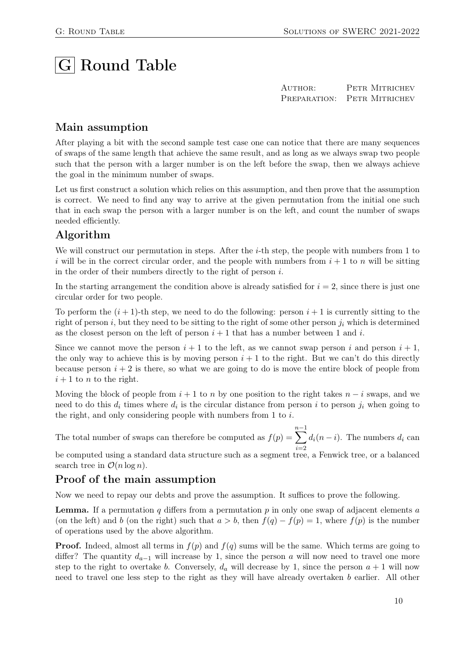# $|G|$  Round Table

AUTHOR: PETR MITRICHEV PREPARATION: PETR MITRICHEV

#### Main assumption

After playing a bit with the second sample test case one can notice that there are many sequences of swaps of the same length that achieve the same result, and as long as we always swap two people such that the person with a larger number is on the left before the swap, then we always achieve the goal in the minimum number of swaps.

Let us first construct a solution which relies on this assumption, and then prove that the assumption is correct. We need to find any way to arrive at the given permutation from the initial one such that in each swap the person with a larger number is on the left, and count the number of swaps needed efficiently.

#### Algorithm

We will construct our permutation in steps. After the *i*-th step, the people with numbers from 1 to i will be in the correct circular order, and the people with numbers from  $i + 1$  to n will be sitting in the order of their numbers directly to the right of person i.

In the starting arrangement the condition above is already satisfied for  $i = 2$ , since there is just one circular order for two people.

To perform the  $(i + 1)$ -th step, we need to do the following: person  $i + 1$  is currently sitting to the right of person i, but they need to be sitting to the right of some other person  $j_i$  which is determined as the closest person on the left of person  $i + 1$  that has a number between 1 and i.

Since we cannot move the person  $i + 1$  to the left, as we cannot swap person i and person  $i + 1$ , the only way to achieve this is by moving person  $i + 1$  to the right. But we can't do this directly because person  $i + 2$  is there, so what we are going to do is move the entire block of people from  $i+1$  to n to the right.

Moving the block of people from  $i + 1$  to n by one position to the right takes  $n - i$  swaps, and we need to do this  $d_i$  times where  $d_i$  is the circular distance from person i to person  $j_i$  when going to the right, and only considering people with numbers from 1 to i.

The total number of swaps can therefore be computed as  $f(p) =$  $\sum^{n-1}$  $i=2$  $d_i(n-i)$ . The numbers  $d_i$  can

be computed using a standard data structure such as a segment tree, a Fenwick tree, or a balanced search tree in  $\mathcal{O}(n \log n)$ .

#### Proof of the main assumption

Now we need to repay our debts and prove the assumption. It suffices to prove the following.

**Lemma.** If a permutation  $q$  differs from a permutation  $p$  in only one swap of adjacent elements  $a$ (on the left) and b (on the right) such that  $a > b$ , then  $f(q) - f(p) = 1$ , where  $f(p)$  is the number of operations used by the above algorithm.

**Proof.** Indeed, almost all terms in  $f(p)$  and  $f(q)$  sums will be the same. Which terms are going to differ? The quantity  $d_{a-1}$  will increase by 1, since the person a will now need to travel one more step to the right to overtake b. Conversely,  $d_a$  will decrease by 1, since the person  $a + 1$  will now need to travel one less step to the right as they will have already overtaken b earlier. All other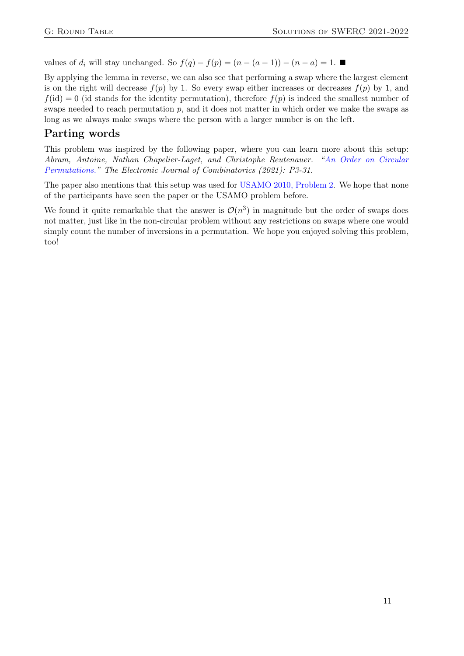values of  $d_i$  will stay unchanged. So  $f(q) - f(p) = (n - (a - 1)) - (n - a) = 1$ . ■

By applying the lemma in reverse, we can also see that performing a swap where the largest element is on the right will decrease  $f(p)$  by 1. So every swap either increases or decreases  $f(p)$  by 1, and  $f(id) = 0$  (id stands for the identity permutation), therefore  $f(p)$  is indeed the smallest number of swaps needed to reach permutation  $p$ , and it does not matter in which order we make the swaps as long as we always make swaps where the person with a larger number is on the left.

#### Parting words

This problem was inspired by the following paper, where you can learn more about this setup: Abram, Antoine, Nathan Chapelier-Laget, and Christophe Reutenauer. ["An Order on Circular](https://www.combinatorics.org/ojs/index.php/eljc/article/view/v28i3p31/pdf) [Permutations."](https://www.combinatorics.org/ojs/index.php/eljc/article/view/v28i3p31/pdf) The Electronic Journal of Combinatorics (2021): P3-31.

The paper also mentions that this setup was used for [USAMO 2010, Problem 2.](https://artofproblemsolving.com/wiki/index.php/2010_USAMO_Problems/Problem_2) We hope that none of the participants have seen the paper or the USAMO problem before.

We found it quite remarkable that the answer is  $\mathcal{O}(n^3)$  in magnitude but the order of swaps does not matter, just like in the non-circular problem without any restrictions on swaps where one would simply count the number of inversions in a permutation. We hope you enjoyed solving this problem, too!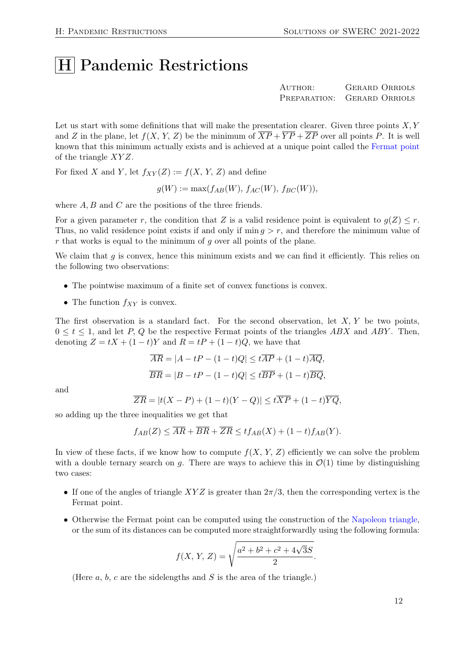### |H Pandemic Restrictions

AUTHOR: GERARD ORRIOLS Preparation: Gerard Orriols

Let us start with some definitions that will make the presentation clearer. Given three points  $X, Y$ and Z in the plane, let  $f(X, Y, Z)$  be the minimum of  $\overline{XP} + \overline{YP} + \overline{ZP}$  over all points P. It is well known that this minimum actually exists and is achieved at a unique point called the [Fermat point](https://en.wikipedia.org/wiki/Fermat_point) of the triangle  $XYZ$ .

For fixed X and Y, let  $f_{XY}(Z) := f(X, Y, Z)$  and define

$$
g(W) := \max(f_{AB}(W), f_{AC}(W), f_{BC}(W)),
$$

where  $A, B$  and  $C$  are the positions of the three friends.

For a given parameter r, the condition that Z is a valid residence point is equivalent to  $q(Z) \leq r$ . Thus, no valid residence point exists if and only if  $\min q > r$ , and therefore the minimum value of  $r$  that works is equal to the minimum of  $q$  over all points of the plane.

We claim that  $q$  is convex, hence this minimum exists and we can find it efficiently. This relies on the following two observations:

- The pointwise maximum of a finite set of convex functions is convex.
- The function  $f_{XY}$  is convex.

The first observation is a standard fact. For the second observation, let  $X, Y$  be two points,  $0 \leq t \leq 1$ , and let P, Q be the respective Fermat points of the triangles ABX and ABY. Then, denoting  $Z = tX + (1-t)Y$  and  $R = tP + (1-t)Q$ , we have that

$$
\overline{AR} = |A - tP - (1 - t)Q| \leq t\overline{AP} + (1 - t)\overline{AQ},
$$
  

$$
\overline{BR} = |B - tP - (1 - t)Q| \leq t\overline{BP} + (1 - t)\overline{BQ},
$$

and

$$
\overline{ZR} = |t(X - P) + (1 - t)(Y - Q)| \leq t\overline{XP} + (1 - t)\overline{YQ},
$$

so adding up the three inequalities we get that

$$
f_{AB}(Z) \leq \overline{AR} + \overline{BR} + \overline{ZR} \leq tf_{AB}(X) + (1-t)f_{AB}(Y).
$$

In view of these facts, if we know how to compute  $f(X, Y, Z)$  efficiently we can solve the problem with a double ternary search on g. There are ways to achieve this in  $\mathcal{O}(1)$  time by distinguishing two cases:

- If one of the angles of triangle  $XYZ$  is greater than  $2\pi/3$ , then the corresponding vertex is the Fermat point.
- Otherwise the Fermat point can be computed using the construction of the [Napoleon triangle,](https://en.wikipedia.org/wiki/Napoleon_theorem) or the sum of its distances can be computed more straightforwardly using the following formula:

$$
f(X, Y, Z) = \sqrt{\frac{a^2 + b^2 + c^2 + 4\sqrt{3}S}{2}}.
$$

(Here  $a, b, c$  are the sidelengths and  $S$  is the area of the triangle.)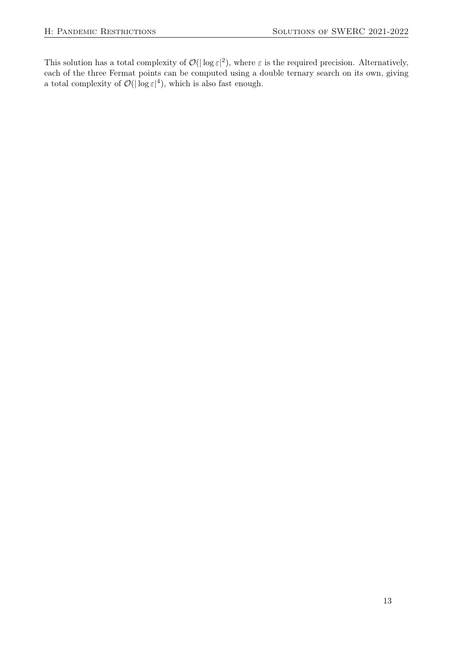This solution has a total complexity of  $\mathcal{O}(|\log \varepsilon|^2)$ , where  $\varepsilon$  is the required precision. Alternatively, each of the three Fermat points can be computed using a double ternary search on its own, giving a total complexity of  $\mathcal{O}(|\log \varepsilon|^4)$ , which is also fast enough.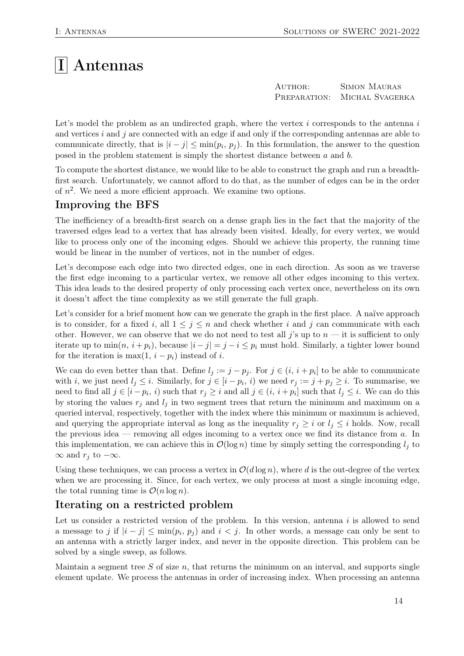# $|I|$  Antennas

| AUTHOR:      | <b>SIMON MAURAS</b> |
|--------------|---------------------|
| PREPARATION: | MICHAL SVAGERKA     |

Let's model the problem as an undirected graph, where the vertex  $i$  corresponds to the antenna  $i$ and vertices  $i$  and  $j$  are connected with an edge if and only if the corresponding antennas are able to communicate directly, that is  $|i - j| \le \min(p_i, p_j)$ . In this formulation, the answer to the question posed in the problem statement is simply the shortest distance between  $a$  and  $b$ .

To compute the shortest distance, we would like to be able to construct the graph and run a breadthfirst search. Unfortunately, we cannot afford to do that, as the number of edges can be in the order of  $n^2$ . We need a more efficient approach. We examine two options.

#### Improving the BFS

The inefficiency of a breadth-first search on a dense graph lies in the fact that the majority of the traversed edges lead to a vertex that has already been visited. Ideally, for every vertex, we would like to process only one of the incoming edges. Should we achieve this property, the running time would be linear in the number of vertices, not in the number of edges.

Let's decompose each edge into two directed edges, one in each direction. As soon as we traverse the first edge incoming to a particular vertex, we remove all other edges incoming to this vertex. This idea leads to the desired property of only processing each vertex once, nevertheless on its own it doesn't affect the time complexity as we still generate the full graph.

Let's consider for a brief moment how can we generate the graph in the first place. A naïve approach is to consider, for a fixed i, all  $1 \leq j \leq n$  and check whether i and j can communicate with each other. However, we can observe that we do not need to test all j's up to  $n - i$  it is sufficient to only iterate up to  $\min(n, i + p_i)$ , because  $|i - j| = j - i \leq p_i$  must hold. Similarly, a tighter lower bound for the iteration is max $(1, i - p_i)$  instead of i.

We can do even better than that. Define  $l_j := j - p_j$ . For  $j \in (i, i + p_i]$  to be able to communicate with *i*, we just need  $l_j \leq i$ . Similarly, for  $j \in [i - p_i, i)$  we need  $r_j := j + p_j \geq i$ . To summarise, we need to find all  $j \in [i - p_i, i)$  such that  $r_j \geq i$  and all  $j \in (i, i + p_i]$  such that  $l_j \leq i$ . We can do this by storing the values  $r_i$  and  $l_i$  in two segment trees that return the minimum and maximum on a queried interval, respectively, together with the index where this minimum or maximum is achieved, and querying the appropriate interval as long as the inequality  $r_j \geq i$  or  $l_j \leq i$  holds. Now, recall the previous idea — removing all edges incoming to a vertex once we find its distance from  $a$ . In this implementation, we can achieve this in  $\mathcal{O}(\log n)$  time by simply setting the corresponding  $l_i$  to  $\infty$  and  $r_j$  to  $-\infty$ .

Using these techniques, we can process a vertex in  $O(d \log n)$ , where d is the out-degree of the vertex when we are processing it. Since, for each vertex, we only process at most a single incoming edge, the total running time is  $\mathcal{O}(n \log n)$ .

#### Iterating on a restricted problem

Let us consider a restricted version of the problem. In this version, antenna  $i$  is allowed to send a message to j if  $|i - j| \le \min(p_i, p_j)$  and  $i < j$ . In other words, a message can only be sent to an antenna with a strictly larger index, and never in the opposite direction. This problem can be solved by a single sweep, as follows.

Maintain a segment tree  $S$  of size  $n$ , that returns the minimum on an interval, and supports single element update. We process the antennas in order of increasing index. When processing an antenna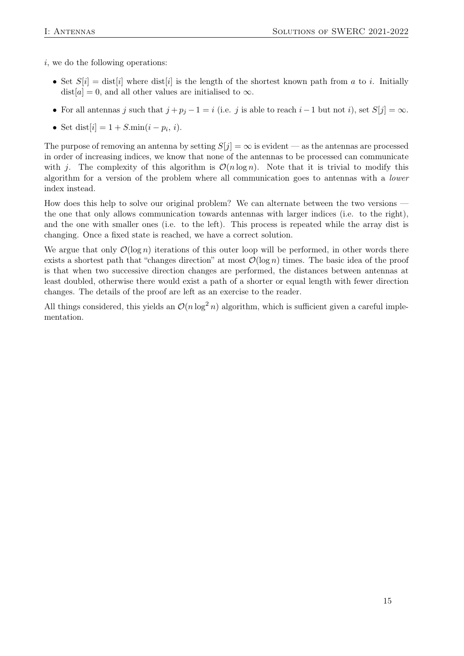i, we do the following operations:

- Set  $S[i] = dist[i]$  where  $dist[i]$  is the length of the shortest known path from a to i. Initially  $dist[a] = 0$ , and all other values are initialised to  $\infty$ .
- For all antennas j such that  $j + p_j 1 = i$  (i.e. j is able to reach  $i 1$  but not i), set  $S[j] = \infty$ .
- Set dist $[i] = 1 + S.\min(i p_i, i)$ .

The purpose of removing an antenna by setting  $S[j] = \infty$  is evident — as the antennas are processed in order of increasing indices, we know that none of the antennas to be processed can communicate with j. The complexity of this algorithm is  $\mathcal{O}(n \log n)$ . Note that it is trivial to modify this algorithm for a version of the problem where all communication goes to antennas with a lower index instead.

How does this help to solve our original problem? We can alternate between the two versions the one that only allows communication towards antennas with larger indices (i.e. to the right), and the one with smaller ones (i.e. to the left). This process is repeated while the array dist is changing. Once a fixed state is reached, we have a correct solution.

We argue that only  $\mathcal{O}(\log n)$  iterations of this outer loop will be performed, in other words there exists a shortest path that "changes direction" at most  $\mathcal{O}(\log n)$  times. The basic idea of the proof is that when two successive direction changes are performed, the distances between antennas at least doubled, otherwise there would exist a path of a shorter or equal length with fewer direction changes. The details of the proof are left as an exercise to the reader.

All things considered, this yields an  $\mathcal{O}(n \log^2 n)$  algorithm, which is sufficient given a careful implementation.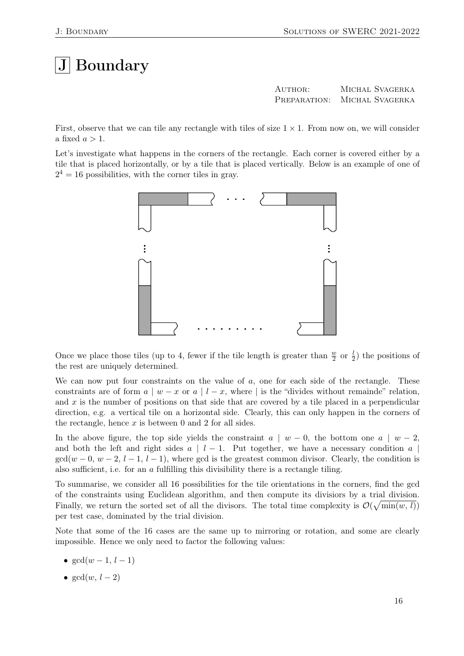# $|J|$  Boundary

AUTHOR: MICHAL SVAGERKA PREPARATION: MICHAL SVAGERKA

First, observe that we can tile any rectangle with tiles of size  $1 \times 1$ . From now on, we will consider a fixed  $a > 1$ .

Let's investigate what happens in the corners of the rectangle. Each corner is covered either by a tile that is placed horizontally, or by a tile that is placed vertically. Below is an example of one of  $2<sup>4</sup> = 16$  possibilities, with the corner tiles in gray.



Once we place those tiles (up to 4, fewer if the tile length is greater than  $\frac{w}{2}$  or  $\frac{1}{2}$ ) the positions of the rest are uniquely determined.

We can now put four constraints on the value of  $a$ , one for each side of the rectangle. These constraints are of form  $a \mid w - x$  or  $a \mid l - x$ , where | is the "divides without remainde" relation, and  $x$  is the number of positions on that side that are covered by a tile placed in a perpendicular direction, e.g. a vertical tile on a horizontal side. Clearly, this can only happen in the corners of the rectangle, hence  $x$  is between 0 and 2 for all sides.

In the above figure, the top side yields the constraint  $a \mid w - 0$ , the bottom one  $a \mid w - 2$ , and both the left and right sides  $a \mid l-1$ . Put together, we have a necessary condition a  $\gcd(w-0, w-2, l-1, l-1)$ , where gcd is the greatest common divisor. Clearly, the condition is also sufficient, i.e. for an  $\alpha$  fulfilling this divisibility there is a rectangle tiling.

To summarise, we consider all 16 possibilities for the tile orientations in the corners, find the gcd of the constraints using Euclidean algorithm, and then compute its divisiors by a trial division. Finally, we return the sorted set of all the divisors. The total time complexity is  $\mathcal{O}(\sqrt{\min(w, l)})$ per test case, dominated by the trial division.

Note that some of the 16 cases are the same up to mirroring or rotation, and some are clearly impossible. Hence we only need to factor the following values:

- $gcd(w-1, l-1)$
- $gcd(w, l 2)$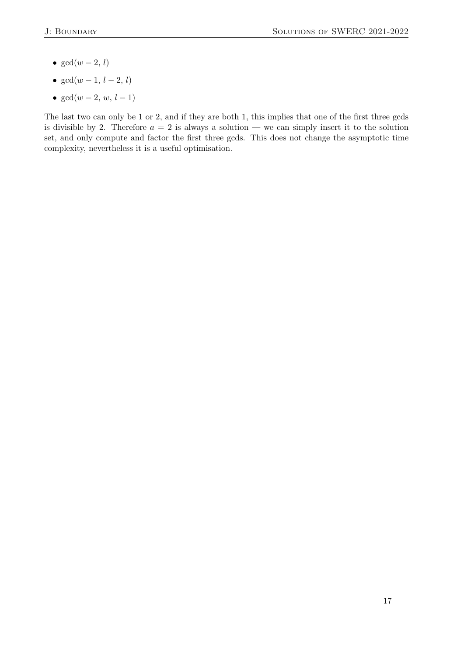- $gcd(w-2, l)$
- $gcd(w 1, l 2, l)$
- $gcd(w 2, w, l 1)$

The last two can only be 1 or 2, and if they are both 1, this implies that one of the first three gcds is divisible by 2. Therefore  $a = 2$  is always a solution — we can simply insert it to the solution set, and only compute and factor the first three gcds. This does not change the asymptotic time complexity, nevertheless it is a useful optimisation.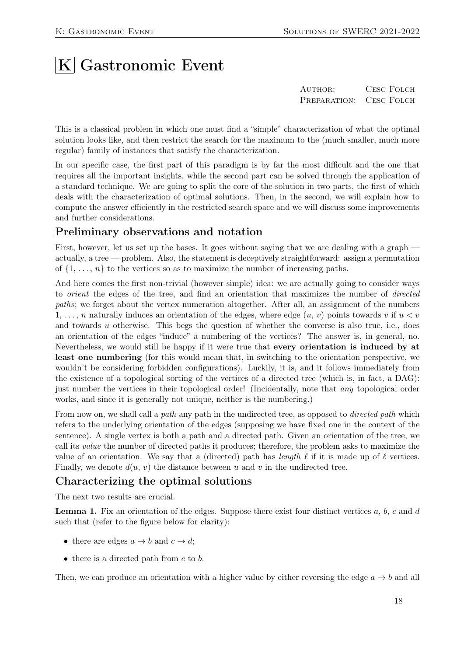# $|K|$  Gastronomic Event

AUTHOR: CESC FOLCH PREPARATION: CESC FOLCH

This is a classical problem in which one must find a "simple" characterization of what the optimal solution looks like, and then restrict the search for the maximum to the (much smaller, much more regular) family of instances that satisfy the characterization.

In our specific case, the first part of this paradigm is by far the most difficult and the one that requires all the important insights, while the second part can be solved through the application of a standard technique. We are going to split the core of the solution in two parts, the first of which deals with the characterization of optimal solutions. Then, in the second, we will explain how to compute the answer efficiently in the restricted search space and we will discuss some improvements and further considerations.

#### Preliminary observations and notation

First, however, let us set up the bases. It goes without saying that we are dealing with a graph actually, a tree — problem. Also, the statement is deceptively straightforward: assign a permutation of  $\{1, \ldots, n\}$  to the vertices so as to maximize the number of increasing paths.

And here comes the first non-trivial (however simple) idea: we are actually going to consider ways to orient the edges of the tree, and find an orientation that maximizes the number of directed paths; we forget about the vertex numeration altogether. After all, an assignment of the numbers 1, ..., n naturally induces an orientation of the edges, where edge  $(u, v)$  points towards v if  $u < v$ and towards u otherwise. This begs the question of whether the converse is also true, i.e., does an orientation of the edges "induce" a numbering of the vertices? The answer is, in general, no. Nevertheless, we would still be happy if it were true that every orientation is induced by at least one numbering (for this would mean that, in switching to the orientation perspective, we wouldn't be considering forbidden configurations). Luckily, it is, and it follows immediately from the existence of a topological sorting of the vertices of a directed tree (which is, in fact, a DAG): just number the vertices in their topological order! (Incidentally, note that *any* topological order works, and since it is generally not unique, neither is the numbering.)

From now on, we shall call a path any path in the undirected tree, as opposed to *directed path* which refers to the underlying orientation of the edges (supposing we have fixed one in the context of the sentence). A single vertex is both a path and a directed path. Given an orientation of the tree, we call its value the number of directed paths it produces; therefore, the problem asks to maximize the value of an orientation. We say that a (directed) path has length  $\ell$  if it is made up of  $\ell$  vertices. Finally, we denote  $d(u, v)$  the distance between u and v in the undirected tree.

#### Characterizing the optimal solutions

The next two results are crucial.

**Lemma 1.** Fix an orientation of the edges. Suppose there exist four distinct vertices  $a, b, c$  and  $d$ such that (refer to the figure below for clarity):

- there are edges  $a \rightarrow b$  and  $c \rightarrow d$ ;
- $\bullet$  there is a directed path from c to b.

Then, we can produce an orientation with a higher value by either reversing the edge  $a \rightarrow b$  and all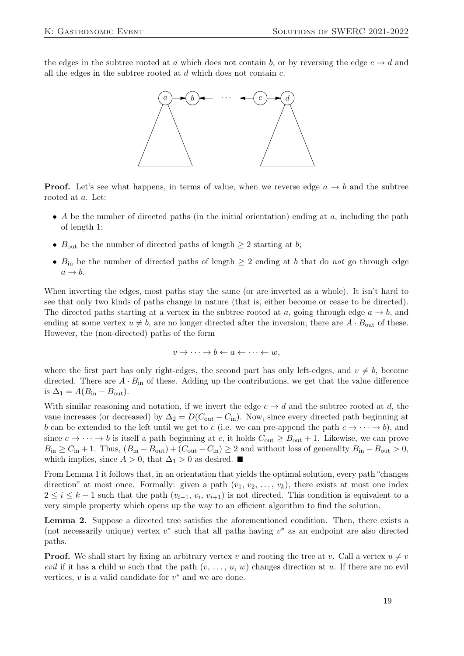the edges in the subtree rooted at a which does not contain b, or by reversing the edge  $c \rightarrow d$  and all the edges in the subtree rooted at  $d$  which does not contain  $c$ .



**Proof.** Let's see what happens, in terms of value, when we reverse edge  $a \rightarrow b$  and the subtree rooted at a. Let:

- A be the number of directed paths (in the initial orientation) ending at  $a$ , including the path of length 1;
- $B_{\text{out}}$  be the number of directed paths of length  $\geq 2$  starting at b;
- $B_{\text{in}}$  be the number of directed paths of length  $\geq 2$  ending at b that do not go through edge  $a \rightarrow b$ .

When inverting the edges, most paths stay the same (or are inverted as a whole). It isn't hard to see that only two kinds of paths change in nature (that is, either become or cease to be directed). The directed paths starting at a vertex in the subtree rooted at a, going through edge  $a \to b$ , and ending at some vertex  $u \neq b$ , are no longer directed after the inversion; there are  $A \cdot B_{\text{out}}$  of these. However, the (non-directed) paths of the form

$$
v \to \cdots \to b \leftarrow a \leftarrow \cdots \leftarrow w,
$$

where the first part has only right-edges, the second part has only left-edges, and  $v \neq b$ , become directed. There are  $A \cdot B_{\text{in}}$  of these. Adding up the contributions, we get that the value difference is  $\Delta_1 = A(B_{\text{in}} - B_{\text{out}})$ .

With similar reasoning and notation, if we invert the edge  $c \to d$  and the subtree rooted at d, the vaue increases (or decreased) by  $\Delta_2 = D(C_{\text{out}} - C_{\text{in}})$ . Now, since every directed path beginning at b can be extended to the left until we get to c (i.e. we can pre-append the path  $c \to \cdots \to b$ ), and since  $c \to \cdots \to b$  is itself a path beginning at c, it holds  $C_{\text{out}} \geq B_{\text{out}} + 1$ . Likewise, we can prove  $B_{\text{in}} \ge C_{\text{in}} + 1$ . Thus,  $(B_{\text{in}} - B_{\text{out}}) + (C_{\text{out}} - C_{\text{in}}) \ge 2$  and without loss of generality  $B_{\text{in}} - B_{\text{out}} > 0$ , which implies, since  $A > 0$ , that  $\Delta_1 > 0$  as desired. ■

From Lemma 1 it follows that, in an orientation that yields the optimal solution, every path "changes direction" at most once. Formally: given a path  $(v_1, v_2, \ldots, v_k)$ , there exists at most one index  $2 \leq i \leq k-1$  such that the path  $(v_{i-1}, v_i, v_{i+1})$  is not directed. This condition is equivalent to a very simple property which opens up the way to an efficient algorithm to find the solution.

Lemma 2. Suppose a directed tree satisfies the aforementioned condition. Then, there exists a (not necessarily unique) vertex  $v^*$  such that all paths having  $v^*$  as an endpoint are also directed paths.

**Proof.** We shall start by fixing an arbitrary vertex v and rooting the tree at v. Call a vertex  $u \neq v$ evil if it has a child w such that the path  $(v, \ldots, u, w)$  changes direction at u. If there are no evil vertices,  $v$  is a valid candidate for  $v^*$  and we are done.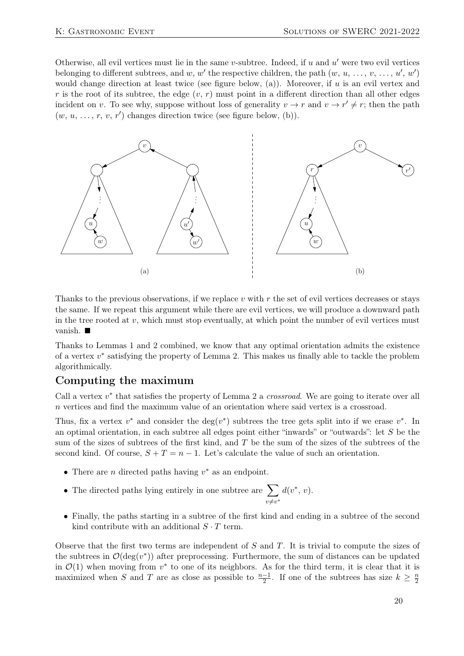Otherwise, all evil vertices must lie in the same v-subtree. Indeed, if  $u$  and  $u'$  were two evil vertices belonging to different subtrees, and w, w' the respective children, the path  $(w, u, \ldots, v, \ldots, u', w')$ would change direction at least twice (see figure below, (a)). Moreover, if u is an evil vertex and r is the root of its subtree, the edge  $(v, r)$  must point in a different direction than all other edges incident on v. To see why, suppose without loss of generality  $v \to r$  and  $v \to r' \neq r$ ; then the path  $(w, u, \ldots, r, v, r')$  changes direction twice (see figure below, (b)).



Thanks to the previous observations, if we replace v with  $r$  the set of evil vertices decreases or stays the same. If we repeat this argument while there are evil vertices, we will produce a downward path in the tree rooted at  $v$ , which must stop eventually, at which point the number of evil vertices must vanish. ■

Thanks to Lemmas 1 and 2 combined, we know that any optimal orientation admits the existence of a vertex  $v^*$  satisfying the property of Lemma 2. This makes us finally able to tackle the problem algorithmically.

#### Computing the maximum

Call a vertex  $v^*$  that satisfies the property of Lemma 2 a *crossroad*. We are going to iterate over all n vertices and find the maximum value of an orientation where said vertex is a crossroad.

Thus, fix a vertex  $v^*$  and consider the deg( $v^*$ ) subtrees the tree gets split into if we erase  $v^*$ . In an optimal orientation, in each subtree all edges point either "inwards" or "outwards": let  $S$  be the sum of the sizes of subtrees of the first kind, and T be the sum of the sizes of the subtrees of the second kind. Of course,  $S + T = n - 1$ . Let's calculate the value of such an orientation.

- There are *n* directed paths having  $v^*$  as an endpoint.
- The directed paths lying entirely in one subtree are  $\sum$  $v \neq v^*$  $d(v^*, v)$ .
- Finally, the paths starting in a subtree of the first kind and ending in a subtree of the second kind contribute with an additional  $S \cdot T$  term.

Observe that the first two terms are independent of  $S$  and  $T$ . It is trivial to compute the sizes of the subtrees in  $\mathcal{O}(\deg(v^*))$  after preprocessing. Furthermore, the sum of distances can be updated in  $\mathcal{O}(1)$  when moving from  $v^*$  to one of its neighbors. As for the third term, it is clear that it is maximized when S and T are as close as possible to  $\frac{n-1}{2}$ . If one of the subtrees has size  $k \geq \frac{n}{2}$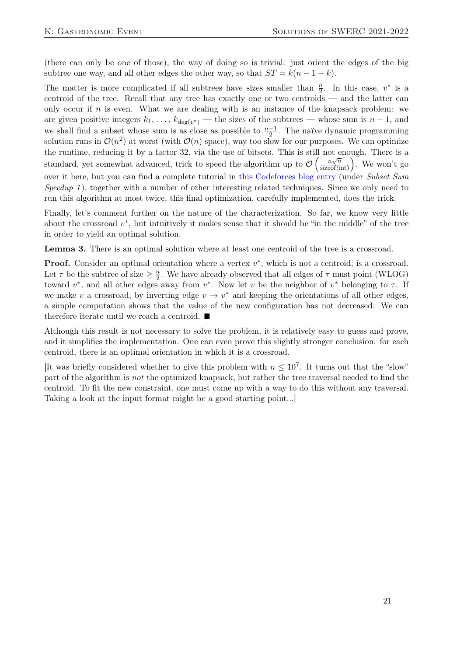(there can only be one of those), the way of doing so is trivial: just orient the edges of the big subtree one way, and all other edges the other way, so that  $ST = k(n - 1 - k)$ .

The matter is more complicated if all subtrees have sizes smaller than  $\frac{n}{2}$ . In this case,  $v^*$  is a centroid of the tree. Recall that any tree has exactly one or two centroids — and the latter can only occur if n is even. What we are dealing with is an instance of the knapsack problem: we are given positive integers  $k_1, \ldots, k_{\deg(v^*)}$  — the sizes of the subtrees — whose sum is  $n-1$ , and we shall find a subset whose sum is as close as possible to  $\frac{n-1}{2}$ . The naïve dynamic programming solution runs in  $\mathcal{O}(n^2)$  at worst (with  $\mathcal{O}(n)$  space), way too slow for our purposes. We can optimize the runtime, reducing it by a factor 32, via the use of bitsets. This is still not enough. There is a standard, yet somewhat advanced, trick to speed the algorithm up to  $\mathcal{O}\left(\frac{n\sqrt{n}}{\text{sizeof(int)}}\right)$ . We won't go over it here, but you can find a complete tutorial in [this Codeforces blog entry](https://codeforces.com/blog/entry/98663) (under Subset Sum Speedup 1), together with a number of other interesting related techniques. Since we only need to run this algorithm at most twice, this final optimization, carefully implemented, does the trick.

Finally, let's comment further on the nature of the characterization. So far, we know very little about the crossroad  $v^*$ , but intuitively it makes sense that it should be "in the middle" of the tree in order to yield an optimal solution.

Lemma 3. There is an optimal solution where at least one centroid of the tree is a crossroad.

**Proof.** Consider an optimal orientation where a vertex  $v^*$ , which is not a centroid, is a crossroad. Let  $\tau$  be the subtree of size  $\geq \frac{n}{2}$ . We have already observed that all edges of  $\tau$  must point (WLOG) toward  $v^*$ , and all other edges away from  $v^*$ . Now let v be the neighbor of  $v^*$  belonging to  $\tau$ . If we make v a crossroad, by inverting edge  $v \to v^*$  and keeping the orientations of all other edges, a simple computation shows that the value of the new configuration has not decreased. We can therefore iterate until we reach a centroid. ■

Although this result is not necessary to solve the problem, it is relatively easy to guess and prove, and it simplifies the implementation. One can even prove this slightly stronger conclusion: for each centroid, there is an optimal orientation in which it is a crossroad.

[It was briefly considered whether to give this problem with  $n \leq 10^7$ . It turns out that the "slow" part of the algorithm is not the optimized knapsack, but rather the tree traversal needed to find the centroid. To fit the new constraint, one must come up with a way to do this without any traversal. Taking a look at the input format might be a good starting point...]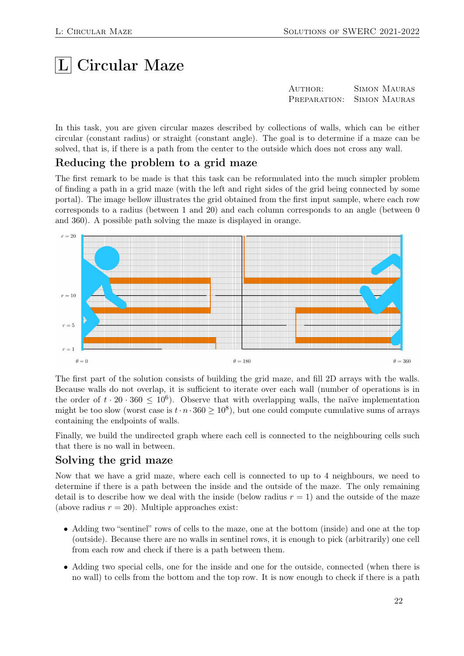# $|L|$  Circular Maze

| AUTHOR: | <b>SIMON MAURAS</b>       |
|---------|---------------------------|
|         | PREPARATION: SIMON MAURAS |

In this task, you are given circular mazes described by collections of walls, which can be either circular (constant radius) or straight (constant angle). The goal is to determine if a maze can be solved, that is, if there is a path from the center to the outside which does not cross any wall.

#### Reducing the problem to a grid maze

The first remark to be made is that this task can be reformulated into the much simpler problem of finding a path in a grid maze (with the left and right sides of the grid being connected by some portal). The image bellow illustrates the grid obtained from the first input sample, where each row corresponds to a radius (between 1 and 20) and each column corresponds to an angle (between 0 and 360). A possible path solving the maze is displayed in orange.



The first part of the solution consists of building the grid maze, and fill 2D arrays with the walls. Because walls do not overlap, it is sufficient to iterate over each wall (number of operations is in the order of  $t \cdot 20 \cdot 360 \leq 10^6$ ). Observe that with overlapping walls, the naïve implementation might be too slow (worst case is  $t \cdot n \cdot 360 \ge 10^8$ ), but one could compute cumulative sums of arrays containing the endpoints of walls.

Finally, we build the undirected graph where each cell is connected to the neighbouring cells such that there is no wall in between.

#### Solving the grid maze

Now that we have a grid maze, where each cell is connected to up to 4 neighbours, we need to determine if there is a path between the inside and the outside of the maze. The only remaining detail is to describe how we deal with the inside (below radius  $r = 1$ ) and the outside of the maze (above radius  $r = 20$ ). Multiple approaches exist:

- Adding two "sentinel" rows of cells to the maze, one at the bottom (inside) and one at the top (outside). Because there are no walls in sentinel rows, it is enough to pick (arbitrarily) one cell from each row and check if there is a path between them.
- Adding two special cells, one for the inside and one for the outside, connected (when there is no wall) to cells from the bottom and the top row. It is now enough to check if there is a path